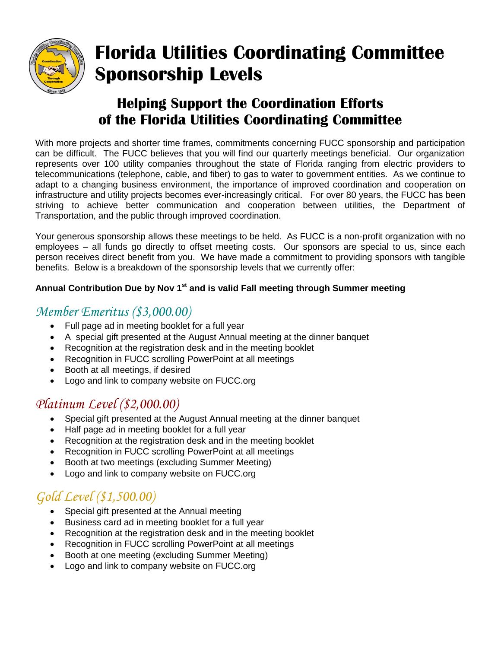

# **Florida Utilities Coordinating Committee Sponsorship Levels**

### **Helping Support the Coordination Efforts of the Florida Utilities Coordinating Committee**

With more projects and shorter time frames, commitments concerning FUCC sponsorship and participation can be difficult. The FUCC believes that you will find our quarterly meetings beneficial. Our organization represents over 100 utility companies throughout the state of Florida ranging from electric providers to telecommunications (telephone, cable, and fiber) to gas to water to government entities. As we continue to adapt to a changing business environment, the importance of improved coordination and cooperation on infrastructure and utility projects becomes ever-increasingly critical. For over 80 years, the FUCC has been striving to achieve better communication and cooperation between utilities, the Department of Transportation, and the public through improved coordination.

Your generous sponsorship allows these meetings to be held. As FUCC is a non-profit organization with no employees – all funds go directly to offset meeting costs. Our sponsors are special to us, since each person receives direct benefit from you. We have made a commitment to providing sponsors with tangible benefits. Below is a breakdown of the sponsorship levels that we currently offer:

#### **Annual Contribution Due by Nov 1st and is valid Fall meeting through Summer meeting**

#### *Member Emeritus (\$3,000.00)*

- Full page ad in meeting booklet for a full year
- A special gift presented at the August Annual meeting at the dinner banquet
- Recognition at the registration desk and in the meeting booklet
- Recognition in FUCC scrolling PowerPoint at all meetings
- Booth at all meetings, if desired
- Logo and link to company website on FUCC.org

### *Platinum Level (\$2,000.00)*

- Special gift presented at the August Annual meeting at the dinner banquet
- Half page ad in meeting booklet for a full year
- Recognition at the registration desk and in the meeting booklet
- Recognition in FUCC scrolling PowerPoint at all meetings
- Booth at two meetings (excluding Summer Meeting)
- Logo and link to company website on FUCC.org

# *Gold Level (\$1,500.00)*

- Special gift presented at the Annual meeting
- Business card ad in meeting booklet for a full year
- Recognition at the registration desk and in the meeting booklet
- Recognition in FUCC scrolling PowerPoint at all meetings
- Booth at one meeting (excluding Summer Meeting)
- Logo and link to company website on FUCC.org